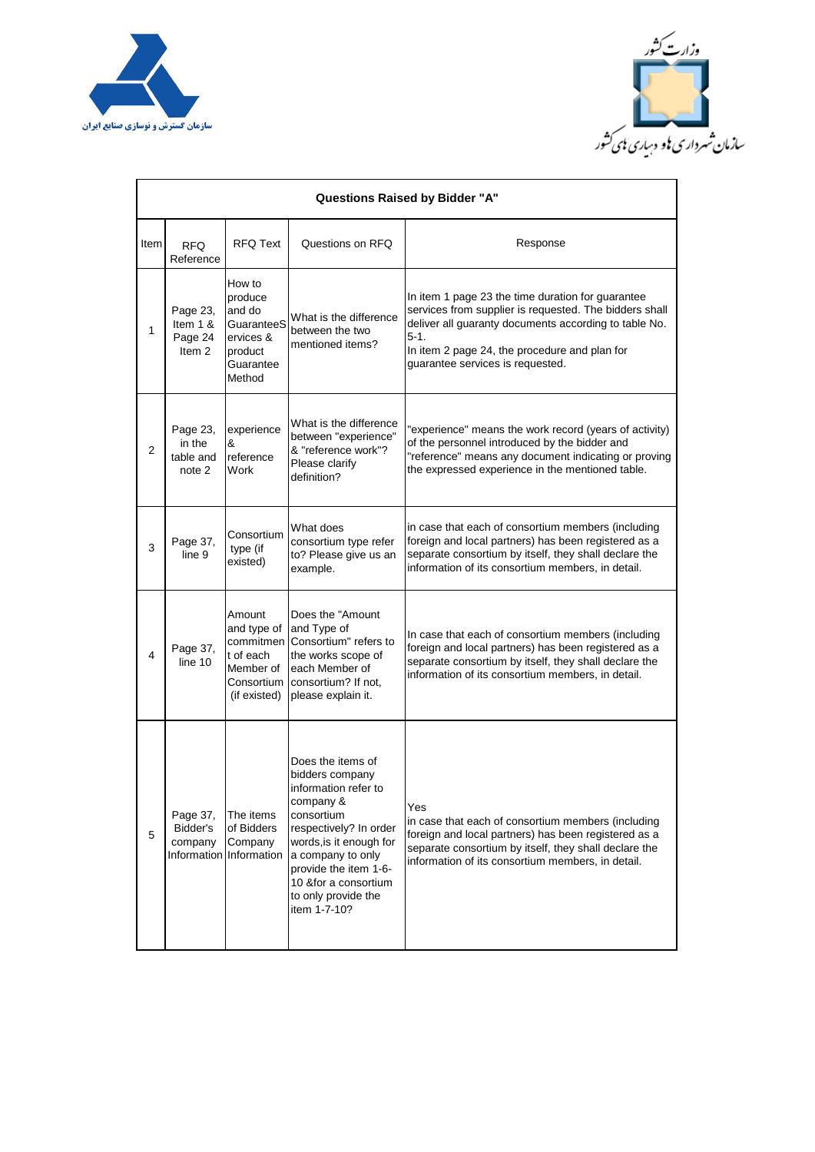



| <b>Questions Raised by Bidder "A"</b> |                                                        |                                                                                          |                                                                                                                                                                                                                                                            |                                                                                                                                                                                                                                                                     |  |  |  |  |
|---------------------------------------|--------------------------------------------------------|------------------------------------------------------------------------------------------|------------------------------------------------------------------------------------------------------------------------------------------------------------------------------------------------------------------------------------------------------------|---------------------------------------------------------------------------------------------------------------------------------------------------------------------------------------------------------------------------------------------------------------------|--|--|--|--|
| Item                                  | <b>RFQ</b><br>Reference                                | <b>RFQ Text</b>                                                                          | Questions on RFQ                                                                                                                                                                                                                                           | Response                                                                                                                                                                                                                                                            |  |  |  |  |
| 1                                     | Page 23,<br>Item $1 &$<br>Page 24<br>Item <sub>2</sub> | How to<br>produce<br>and do<br>GuaranteeS<br>ervices &<br>product<br>Guarantee<br>Method | What is the difference<br>between the two<br>mentioned items?                                                                                                                                                                                              | In item 1 page 23 the time duration for guarantee<br>services from supplier is requested. The bidders shall<br>deliver all guaranty documents according to table No.<br>$5-1.$<br>In item 2 page 24, the procedure and plan for<br>quarantee services is requested. |  |  |  |  |
| 2                                     | Page 23,<br>in the<br>table and<br>note 2              | experience<br>&<br>reference<br>Work                                                     | What is the difference<br>between "experience"<br>& "reference work"?<br>Please clarify<br>definition?                                                                                                                                                     | "experience" means the work record (years of activity)<br>of the personnel introduced by the bidder and<br>"reference" means any document indicating or proving<br>the expressed experience in the mentioned table.                                                 |  |  |  |  |
| 3                                     | Page 37,<br>line 9                                     | Consortium<br>type (if<br>existed)                                                       | What does<br>consortium type refer<br>to? Please give us an<br>example.                                                                                                                                                                                    | in case that each of consortium members (including<br>foreign and local partners) has been registered as a<br>separate consortium by itself, they shall declare the<br>information of its consortium members, in detail.                                            |  |  |  |  |
| 4                                     | Page 37,<br>line 10                                    | Amount<br>and type of<br>t of each<br>Member of<br>(if existed)                          | Does the "Amount"<br>and Type of<br>commitmen Consortium" refers to<br>the works scope of<br>each Member of<br>Consortium   consortium? If not,<br>please explain it.                                                                                      | In case that each of consortium members (including<br>foreign and local partners) has been registered as a<br>separate consortium by itself, they shall declare the<br>information of its consortium members, in detail.                                            |  |  |  |  |
| 5                                     | Page 37,<br>Bidder's<br>company                        | The items<br>of Bidders<br>Company<br>Information Information                            | Does the items of<br>bidders company<br>information refer to<br>company &<br>consortium<br>respectively? In order<br>words, is it enough for<br>a company to only<br>provide the item 1-6-<br>10 & for a consortium<br>to only provide the<br>item 1-7-10? | Yes<br>in case that each of consortium members (including<br>foreign and local partners) has been registered as a<br>separate consortium by itself, they shall declare the<br>information of its consortium members, in detail.                                     |  |  |  |  |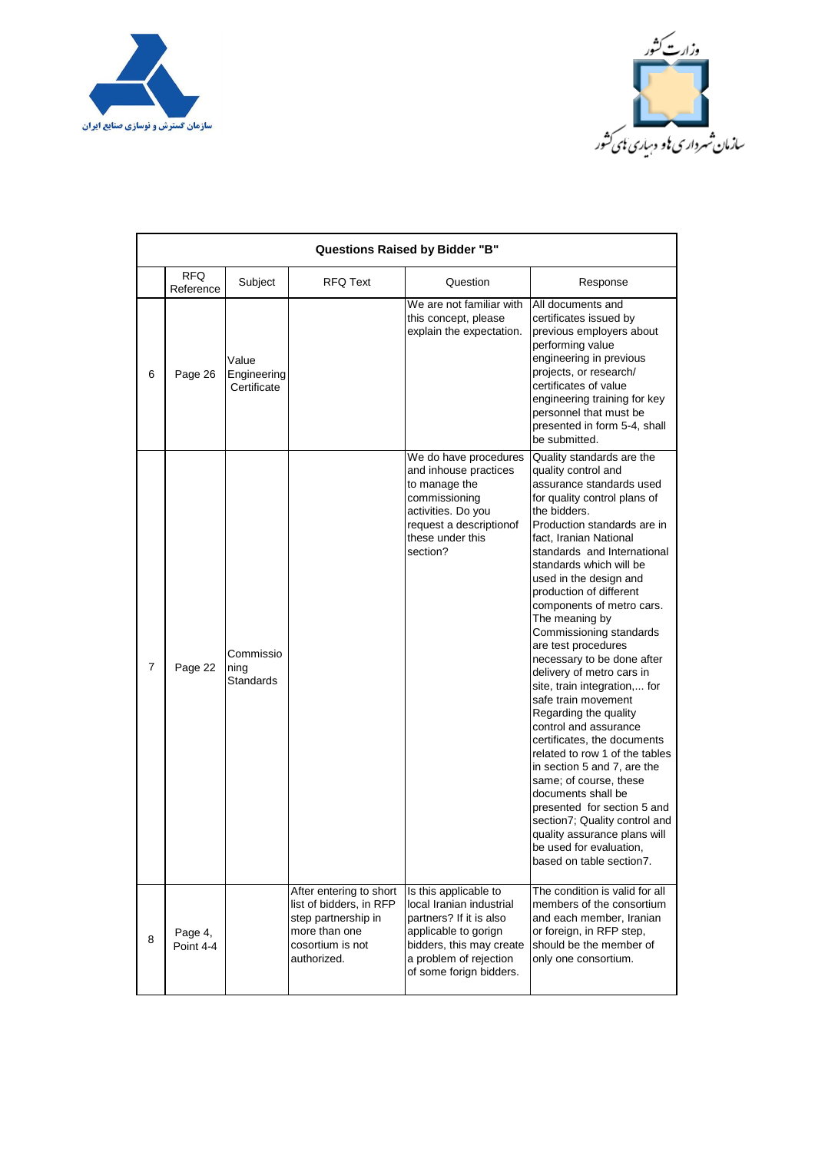



| <b>Questions Raised by Bidder "B"</b> |                         |                                       |                                                                                                                               |                                                                                                                                                                                       |                                                                                                                                                                                                                                                                                                                                                                                                                                                                                                                                                                                                                                                                                                                                                                                                                                                                                  |  |  |  |  |
|---------------------------------------|-------------------------|---------------------------------------|-------------------------------------------------------------------------------------------------------------------------------|---------------------------------------------------------------------------------------------------------------------------------------------------------------------------------------|----------------------------------------------------------------------------------------------------------------------------------------------------------------------------------------------------------------------------------------------------------------------------------------------------------------------------------------------------------------------------------------------------------------------------------------------------------------------------------------------------------------------------------------------------------------------------------------------------------------------------------------------------------------------------------------------------------------------------------------------------------------------------------------------------------------------------------------------------------------------------------|--|--|--|--|
|                                       | <b>RFQ</b><br>Reference | Subject                               | <b>RFQ Text</b>                                                                                                               | Question                                                                                                                                                                              | Response                                                                                                                                                                                                                                                                                                                                                                                                                                                                                                                                                                                                                                                                                                                                                                                                                                                                         |  |  |  |  |
| 6                                     | Page 26                 | Value<br>Engineering<br>Certificate   |                                                                                                                               | We are not familiar with<br>this concept, please<br>explain the expectation.                                                                                                          | All documents and<br>certificates issued by<br>previous employers about<br>performing value<br>engineering in previous<br>projects, or research/<br>certificates of value<br>engineering training for key<br>personnel that must be<br>presented in form 5-4, shall<br>be submitted.                                                                                                                                                                                                                                                                                                                                                                                                                                                                                                                                                                                             |  |  |  |  |
| 7                                     | Page 22                 | Commissio<br>ning<br><b>Standards</b> |                                                                                                                               | We do have procedures<br>and inhouse practices<br>to manage the<br>commissioning<br>activities. Do you<br>request a descriptionof<br>these under this<br>section?                     | Quality standards are the<br>quality control and<br>assurance standards used<br>for quality control plans of<br>the bidders.<br>Production standards are in<br>fact, Iranian National<br>standards and International<br>standards which will be<br>used in the design and<br>production of different<br>components of metro cars.<br>The meaning by<br>Commissioning standards<br>are test procedures<br>necessary to be done after<br>delivery of metro cars in<br>site, train integration, for<br>safe train movement<br>Regarding the quality<br>control and assurance<br>certificates, the documents<br>related to row 1 of the tables<br>in section 5 and 7, are the<br>same; of course, these<br>documents shall be<br>presented for section 5 and<br>section7; Quality control and<br>quality assurance plans will<br>be used for evaluation,<br>based on table section7. |  |  |  |  |
| 8                                     | Page 4,<br>Point 4-4    |                                       | After entering to short<br>list of bidders, in RFP<br>step partnership in<br>more than one<br>cosortium is not<br>authorized. | Is this applicable to<br>local Iranian industrial<br>partners? If it is also<br>applicable to gorign<br>bidders, this may create<br>a problem of rejection<br>of some forign bidders. | The condition is valid for all<br>members of the consortium<br>and each member, Iranian<br>or foreign, in RFP step,<br>should be the member of<br>only one consortium.                                                                                                                                                                                                                                                                                                                                                                                                                                                                                                                                                                                                                                                                                                           |  |  |  |  |